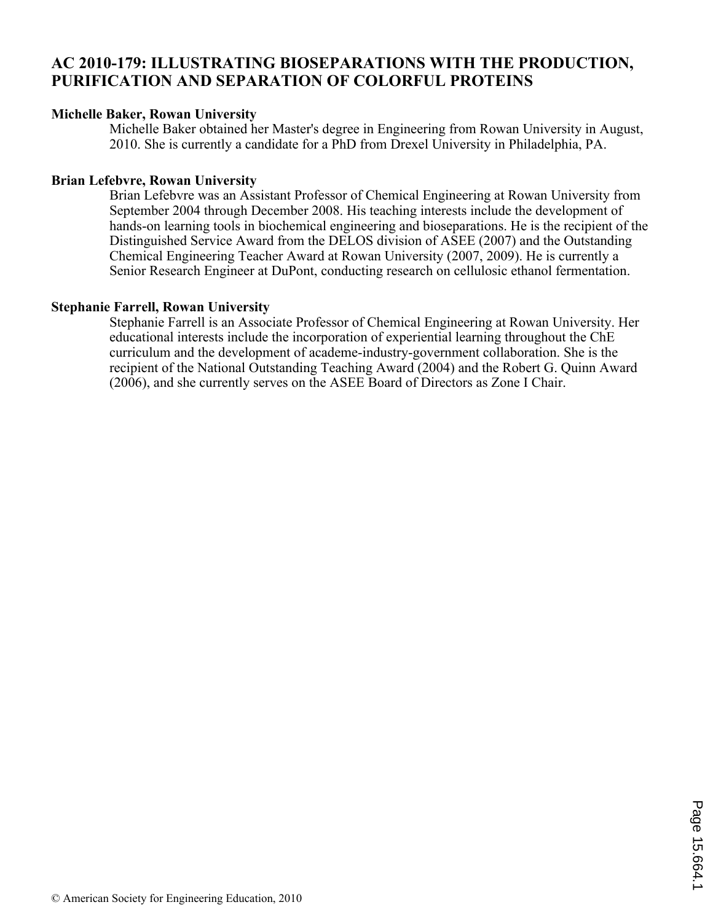# **AC 2010-179: ILLUSTRATING BIOSEPARATIONS WITH THE PRODUCTION, PURIFICATION AND SEPARATION OF COLORFUL PROTEINS**

#### **Michelle Baker, Rowan University**

Michelle Baker obtained her Master's degree in Engineering from Rowan University in August, 2010. She is currently a candidate for a PhD from Drexel University in Philadelphia, PA.

### **Brian Lefebvre, Rowan University**

Brian Lefebvre was an Assistant Professor of Chemical Engineering at Rowan University from September 2004 through December 2008. His teaching interests include the development of hands-on learning tools in biochemical engineering and bioseparations. He is the recipient of the Distinguished Service Award from the DELOS division of ASEE (2007) and the Outstanding Chemical Engineering Teacher Award at Rowan University (2007, 2009). He is currently a Senior Research Engineer at DuPont, conducting research on cellulosic ethanol fermentation.

#### **Stephanie Farrell, Rowan University**

Stephanie Farrell is an Associate Professor of Chemical Engineering at Rowan University. Her educational interests include the incorporation of experiential learning throughout the ChE curriculum and the development of academe-industry-government collaboration. She is the recipient of the National Outstanding Teaching Award (2004) and the Robert G. Quinn Award (2006), and she currently serves on the ASEE Board of Directors as Zone I Chair.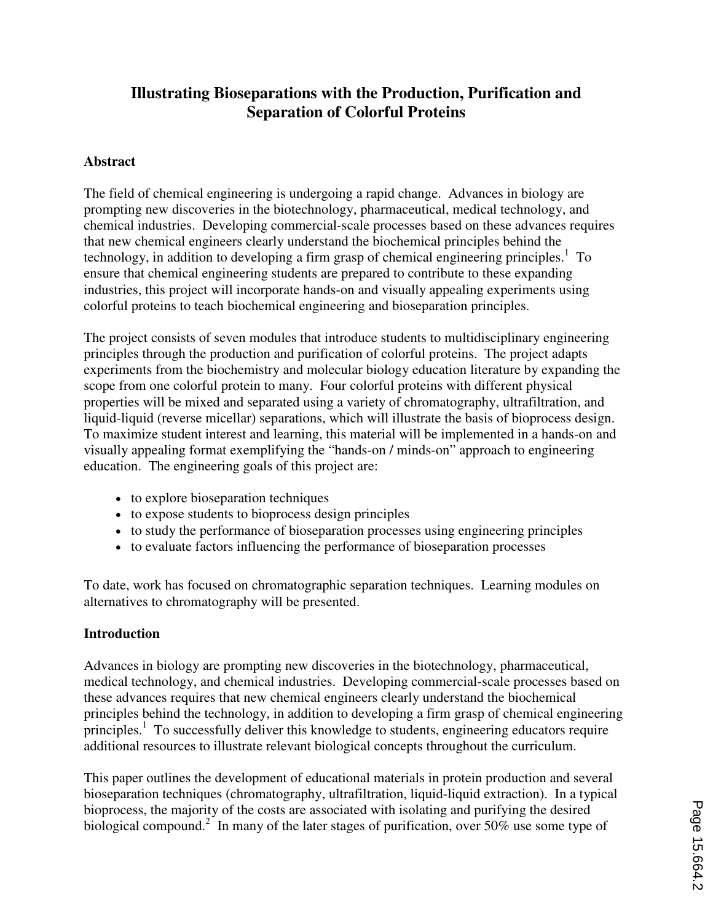## **Illustrating Bioseparations with the Production, Purification and Separation of Colorful Proteins**

#### **Abstract**

The field of chemical engineering is undergoing a rapid change. Advances in biology are prompting new discoveries in the biotechnology, pharmaceutical, medical technology, and chemical industries. Developing commercial-scale processes based on these advances requires that new chemical engineers clearly understand the biochemical principles behind the technology, in addition to developing a firm grasp of chemical engineering principles.<sup>1</sup> To ensure that chemical engineering students are prepared to contribute to these expanding industries, this project will incorporate hands-on and visually appealing experiments using colorful proteins to teach biochemical engineering and bioseparation principles.

The project consists of seven modules that introduce students to multidisciplinary engineering principles through the production and purification of colorful proteins. The project adapts experiments from the biochemistry and molecular biology education literature by expanding the scope from one colorful protein to many. Four colorful proteins with different physical properties will be mixed and separated using a variety of chromatography, ultrafiltration, and liquid-liquid (reverse micellar) separations, which will illustrate the basis of bioprocess design. To maximize student interest and learning, this material will be implemented in a hands-on and visually appealing format exemplifying the "hands-on / minds-on" approach to engineering education. The engineering goals of this project are:

- to explore bioseparation techniques
- to expose students to bioprocess design principles
- to study the performance of bioseparation processes using engineering principles
- ≠ to evaluate factors influencing the performance of bioseparation processes

To date, work has focused on chromatographic separation techniques. Learning modules on alternatives to chromatography will be presented.

### **Introduction**

Advances in biology are prompting new discoveries in the biotechnology, pharmaceutical, medical technology, and chemical industries. Developing commercial-scale processes based on these advances requires that new chemical engineers clearly understand the biochemical principles behind the technology, in addition to developing a firm grasp of chemical engineering principles.<sup>1</sup> To successfully deliver this knowledge to students, engineering educators require additional resources to illustrate relevant biological concepts throughout the curriculum.

This paper outlines the development of educational materials in protein production and several bioseparation techniques (chromatography, ultrafiltration, liquid-liquid extraction). In a typical bioprocess, the majority of the costs are associated with isolating and purifying the desired biological compound.<sup>2</sup> In many of the later stages of purification, over 50% use some type of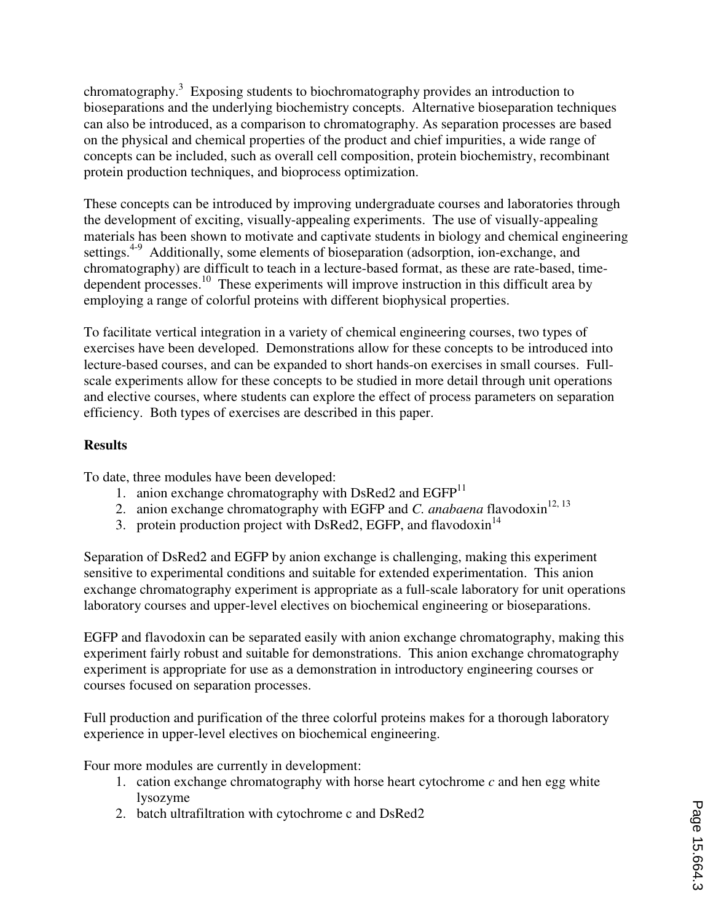chromatography.<sup>3</sup> Exposing students to biochromatography provides an introduction to bioseparations and the underlying biochemistry concepts. Alternative bioseparation techniques can also be introduced, as a comparison to chromatography. As separation processes are based on the physical and chemical properties of the product and chief impurities, a wide range of concepts can be included, such as overall cell composition, protein biochemistry, recombinant protein production techniques, and bioprocess optimization.

These concepts can be introduced by improving undergraduate courses and laboratories through the development of exciting, visually-appealing experiments. The use of visually-appealing materials has been shown to motivate and captivate students in biology and chemical engineering settings.<sup>4-9</sup> Additionally, some elements of bioseparation (adsorption, ion-exchange, and chromatography) are difficult to teach in a lecture-based format, as these are rate-based, timedependent processes.<sup>10</sup> These experiments will improve instruction in this difficult area by employing a range of colorful proteins with different biophysical properties.

To facilitate vertical integration in a variety of chemical engineering courses, two types of exercises have been developed. Demonstrations allow for these concepts to be introduced into lecture-based courses, and can be expanded to short hands-on exercises in small courses. Fullscale experiments allow for these concepts to be studied in more detail through unit operations and elective courses, where students can explore the effect of process parameters on separation efficiency. Both types of exercises are described in this paper.

## **Results**

To date, three modules have been developed:

- 1. anion exchange chromatography with DsRed2 and  $EGFP<sup>11</sup>$
- 2. anion exchange chromatography with EGFP and *C. anabaena* flavodoxin<sup>12, 13</sup>
- 3. protein production project with DsRed2, EGFP, and flavodoxin<sup>14</sup>

Separation of DsRed2 and EGFP by anion exchange is challenging, making this experiment sensitive to experimental conditions and suitable for extended experimentation. This anion exchange chromatography experiment is appropriate as a full-scale laboratory for unit operations laboratory courses and upper-level electives on biochemical engineering or bioseparations.

EGFP and flavodoxin can be separated easily with anion exchange chromatography, making this experiment fairly robust and suitable for demonstrations. This anion exchange chromatography experiment is appropriate for use as a demonstration in introductory engineering courses or courses focused on separation processes.

Full production and purification of the three colorful proteins makes for a thorough laboratory experience in upper-level electives on biochemical engineering.

Four more modules are currently in development:

- 1. cation exchange chromatography with horse heart cytochrome *c* and hen egg white lysozyme
- 2. batch ultrafiltration with cytochrome c and DsRed2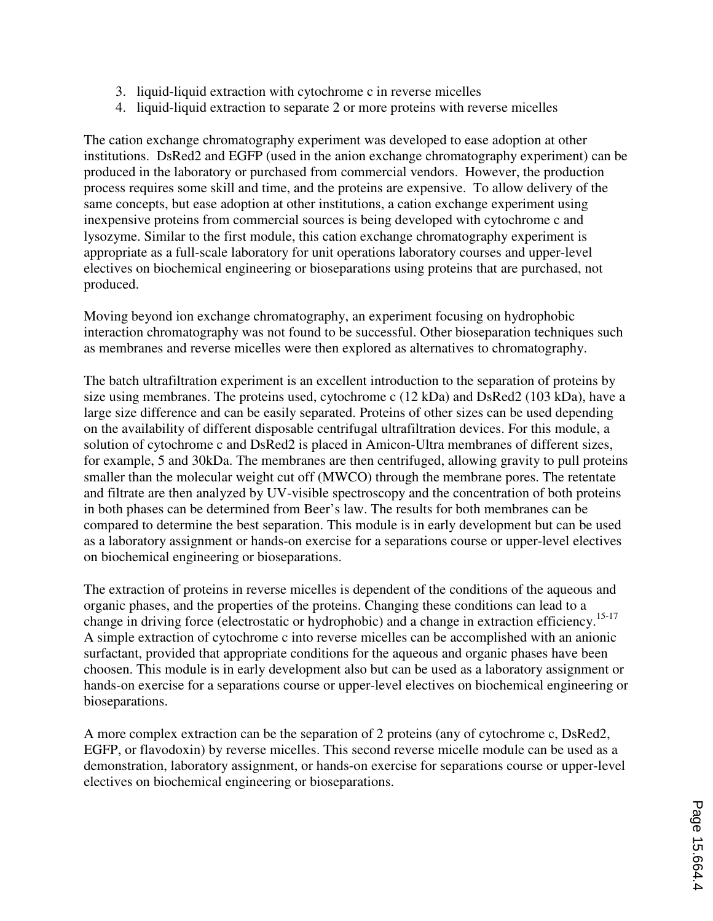- 3. liquid-liquid extraction with cytochrome c in reverse micelles
- 4. liquid-liquid extraction to separate 2 or more proteins with reverse micelles

The cation exchange chromatography experiment was developed to ease adoption at other institutions. DsRed2 and EGFP (used in the anion exchange chromatography experiment) can be produced in the laboratory or purchased from commercial vendors. However, the production process requires some skill and time, and the proteins are expensive. To allow delivery of the same concepts, but ease adoption at other institutions, a cation exchange experiment using inexpensive proteins from commercial sources is being developed with cytochrome c and lysozyme. Similar to the first module, this cation exchange chromatography experiment is appropriate as a full-scale laboratory for unit operations laboratory courses and upper-level electives on biochemical engineering or bioseparations using proteins that are purchased, not produced.

Moving beyond ion exchange chromatography, an experiment focusing on hydrophobic interaction chromatography was not found to be successful. Other bioseparation techniques such as membranes and reverse micelles were then explored as alternatives to chromatography.

The batch ultrafiltration experiment is an excellent introduction to the separation of proteins by size using membranes. The proteins used, cytochrome c (12 kDa) and DsRed2 (103 kDa), have a large size difference and can be easily separated. Proteins of other sizes can be used depending on the availability of different disposable centrifugal ultrafiltration devices. For this module, a solution of cytochrome c and DsRed2 is placed in Amicon-Ultra membranes of different sizes, for example, 5 and 30kDa. The membranes are then centrifuged, allowing gravity to pull proteins smaller than the molecular weight cut off (MWCO) through the membrane pores. The retentate and filtrate are then analyzed by UV-visible spectroscopy and the concentration of both proteins in both phases can be determined from Beer's law. The results for both membranes can be compared to determine the best separation. This module is in early development but can be used as a laboratory assignment or hands-on exercise for a separations course or upper-level electives on biochemical engineering or bioseparations.

The extraction of proteins in reverse micelles is dependent of the conditions of the aqueous and organic phases, and the properties of the proteins. Changing these conditions can lead to a change in driving force (electrostatic or hydrophobic) and a change in extraction efficiency.<sup>15-17</sup> A simple extraction of cytochrome c into reverse micelles can be accomplished with an anionic surfactant, provided that appropriate conditions for the aqueous and organic phases have been choosen. This module is in early development also but can be used as a laboratory assignment or hands-on exercise for a separations course or upper-level electives on biochemical engineering or bioseparations.

A more complex extraction can be the separation of 2 proteins (any of cytochrome c, DsRed2, EGFP, or flavodoxin) by reverse micelles. This second reverse micelle module can be used as a demonstration, laboratory assignment, or hands-on exercise for separations course or upper-level electives on biochemical engineering or bioseparations.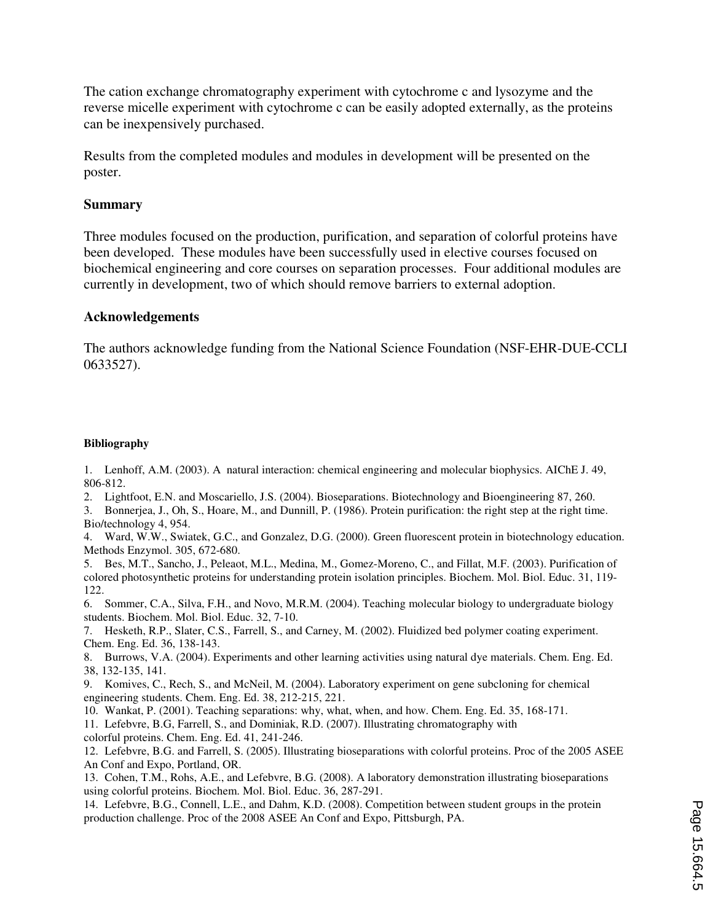The cation exchange chromatography experiment with cytochrome c and lysozyme and the reverse micelle experiment with cytochrome c can be easily adopted externally, as the proteins can be inexpensively purchased.

Results from the completed modules and modules in development will be presented on the poster.

#### **Summary**

Three modules focused on the production, purification, and separation of colorful proteins have been developed. These modules have been successfully used in elective courses focused on biochemical engineering and core courses on separation processes. Four additional modules are currently in development, two of which should remove barriers to external adoption.

#### **Acknowledgements**

The authors acknowledge funding from the National Science Foundation (NSF-EHR-DUE-CCLI 0633527).

#### **Bibliography**

1. Lenhoff, A.M. (2003). A natural interaction: chemical engineering and molecular biophysics. AIChE J. 49, 806-812.

- 2. Lightfoot, E.N. and Moscariello, J.S. (2004). Bioseparations. Biotechnology and Bioengineering 87, 260.
- 3. Bonnerjea, J., Oh, S., Hoare, M., and Dunnill, P. (1986). Protein purification: the right step at the right time. Bio/technology 4, 954.

4. Ward, W.W., Swiatek, G.C., and Gonzalez, D.G. (2000). Green fluorescent protein in biotechnology education. Methods Enzymol. 305, 672-680.

5. Bes, M.T., Sancho, J., Peleaot, M.L., Medina, M., Gomez-Moreno, C., and Fillat, M.F. (2003). Purification of colored photosynthetic proteins for understanding protein isolation principles. Biochem. Mol. Biol. Educ. 31, 119- 122.

6. Sommer, C.A., Silva, F.H., and Novo, M.R.M. (2004). Teaching molecular biology to undergraduate biology students. Biochem. Mol. Biol. Educ. 32, 7-10.

7. Hesketh, R.P., Slater, C.S., Farrell, S., and Carney, M. (2002). Fluidized bed polymer coating experiment. Chem. Eng. Ed. 36, 138-143.

8. Burrows, V.A. (2004). Experiments and other learning activities using natural dye materials. Chem. Eng. Ed. 38, 132-135, 141.

9. Komives, C., Rech, S., and McNeil, M. (2004). Laboratory experiment on gene subcloning for chemical engineering students. Chem. Eng. Ed. 38, 212-215, 221.

10. Wankat, P. (2001). Teaching separations: why, what, when, and how. Chem. Eng. Ed. 35, 168-171.

11. Lefebvre, B.G, Farrell, S., and Dominiak, R.D. (2007). Illustrating chromatography with colorful proteins. Chem. Eng. Ed. 41, 241-246.

12. Lefebvre, B.G. and Farrell, S. (2005). Illustrating bioseparations with colorful proteins. Proc of the 2005 ASEE An Conf and Expo, Portland, OR.

13. Cohen, T.M., Rohs, A.E., and Lefebvre, B.G. (2008). A laboratory demonstration illustrating bioseparations using colorful proteins. Biochem. Mol. Biol. Educ. 36, 287-291.

14. Lefebvre, B.G., Connell, L.E., and Dahm, K.D. (2008). Competition between student groups in the protein production challenge. Proc of the 2008 ASEE An Conf and Expo, Pittsburgh, PA.